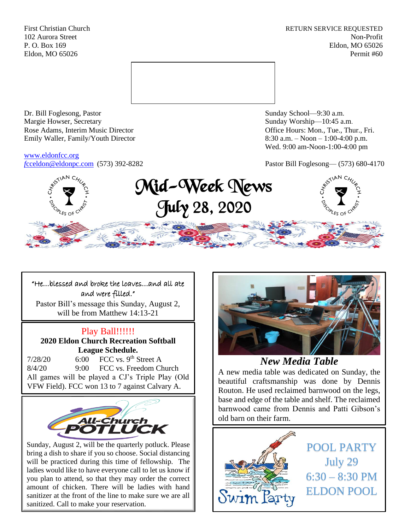First Christian Church **RETURN SERVICE REQUESTED** 102 Aurora Street Non-Profit P. O. Box 169 Eldon, MO 65026 Eldon, MO 65026 Permit #60



Dr. Bill Foglesong, Pastor Sunday School—9:30 a.m. Margie Howser, Secretary Sunday Worship—10:45 a.m. Rose Adams, Interim Music Director **Containers** Controller and Controller Controller Controller Controller and Controller Controller Controller and Controller and Controller and Controller and Controller and Controller and Emily Waller, Family/Youth Director 8:30 a.m. – Noon – 1:00-4:00 p.m.

[www.eldonfcc.org](http://www.eldonfcc.org/)

Wed. 9:00 am-Noon-1:00-4:00 pm

*f*[cceldon@eldonpc.com](mailto:fcceldon@eldonpc.com) (573) 392-8282 Pastor Bill Foglesong— (573) 680-4170



## "He…blessed and broke the loaves…and all ate and were filled."

Pastor Bill's message this Sunday, August 2, will be from Matthew 14:13-21

# Play Ball!!!!!!

**2020 Eldon Church Recreation Softball League Schedule.**

 $7/28/20$  6:00 FCC vs. 9<sup>th</sup> Street A 8/4/20 9:00 FCC vs. Freedom Church All games will be played a CJ's Triple Play (Old VFW Field). FCC won 13 to 7 against Calvary A.



Sunday, August 2, will be the quarterly potluck. Please bring a dish to share if you so choose. Social distancing will be practiced during this time of fellowship. The ladies would like to have everyone call to let us know if you plan to attend, so that they may order the correct amount of chicken. There will be ladies with hand sanitizer at the front of the line to make sure we are all sanitized. Call to make your reservation.



*New Media Table*

A new media table was dedicated on Sunday, the beautiful craftsmanship was done by Dennis Routon. He used reclaimed barnwood on the legs, base and edge of the table and shelf. The reclaimed barnwood came from Dennis and Patti Gibson's old barn on their farm.



POOL PARTY July 29  $6:30 - 8:30$  PM ELDON POOL